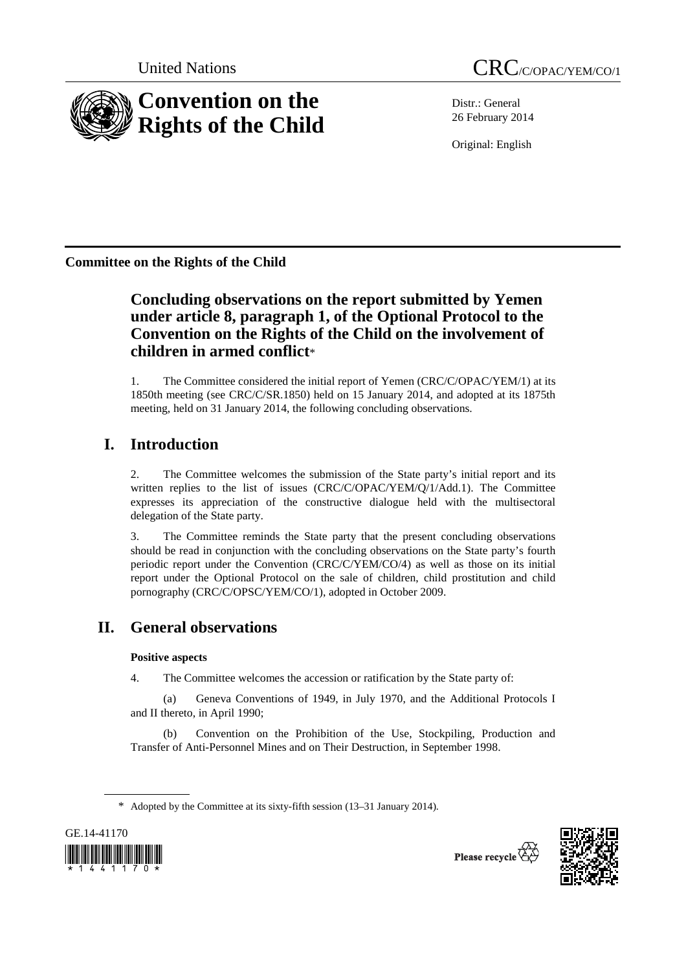

Distr.: General 26 February 2014

Original: English

**Committee on the Rights of the Child** 

# **Concluding observations on the report submitted by Yemen under article 8, paragraph 1, of the Optional Protocol to the Convention on the Rights of the Child on the involvement of children in armed conflict**\*

1. The Committee considered the initial report of Yemen (CRC/C/OPAC/YEM/1) at its 1850th meeting (see CRC/C/SR.1850) held on 15 January 2014, and adopted at its 1875th meeting, held on 31 January 2014, the following concluding observations.

# **I. Introduction**

2. The Committee welcomes the submission of the State party's initial report and its written replies to the list of issues (CRC/C/OPAC/YEM/Q/1/Add.1). The Committee expresses its appreciation of the constructive dialogue held with the multisectoral delegation of the State party.

3. The Committee reminds the State party that the present concluding observations should be read in conjunction with the concluding observations on the State party's fourth periodic report under the Convention (CRC/C/YEM/CO/4) as well as those on its initial report under the Optional Protocol on the sale of children, child prostitution and child pornography (CRC/C/OPSC/YEM/CO/1), adopted in October 2009.

# **II. General observations**

### **Positive aspects**

4. The Committee welcomes the accession or ratification by the State party of:

(a) Geneva Conventions of 1949, in July 1970, and the Additional Protocols I and II thereto, in April 1990;

(b) Convention on the Prohibition of the Use, Stockpiling, Production and Transfer of Anti-Personnel Mines and on Their Destruction, in September 1998.

<sup>\*</sup> Adopted by the Committee at its sixty-fifth session (13–31 January 2014).



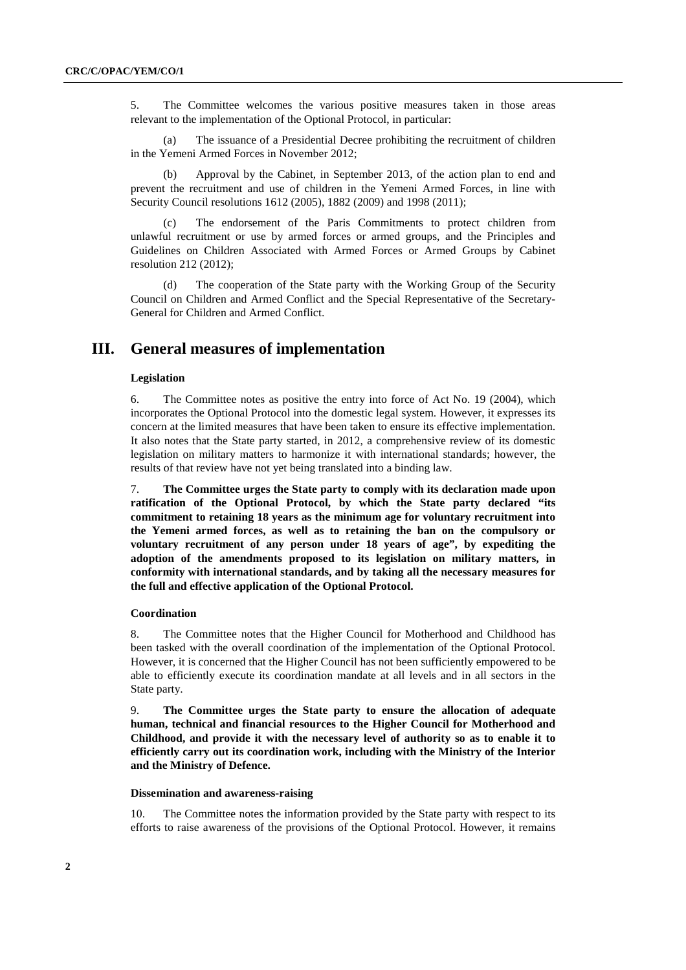5. The Committee welcomes the various positive measures taken in those areas relevant to the implementation of the Optional Protocol, in particular:

(a) The issuance of a Presidential Decree prohibiting the recruitment of children in the Yemeni Armed Forces in November 2012;

Approval by the Cabinet, in September 2013, of the action plan to end and prevent the recruitment and use of children in the Yemeni Armed Forces, in line with Security Council resolutions 1612 (2005), 1882 (2009) and 1998 (2011);

The endorsement of the Paris Commitments to protect children from unlawful recruitment or use by armed forces or armed groups, and the Principles and Guidelines on Children Associated with Armed Forces or Armed Groups by Cabinet resolution 212 (2012);

(d) The cooperation of the State party with the Working Group of the Security Council on Children and Armed Conflict and the Special Representative of the Secretary-General for Children and Armed Conflict.

## **III. General measures of implementation**

#### **Legislation**

6. The Committee notes as positive the entry into force of Act No. 19 (2004), which incorporates the Optional Protocol into the domestic legal system. However, it expresses its concern at the limited measures that have been taken to ensure its effective implementation. It also notes that the State party started, in 2012, a comprehensive review of its domestic legislation on military matters to harmonize it with international standards; however, the results of that review have not yet being translated into a binding law.

7. **The Committee urges the State party to comply with its declaration made upon ratification of the Optional Protocol, by which the State party declared "its commitment to retaining 18 years as the minimum age for voluntary recruitment into the Yemeni armed forces, as well as to retaining the ban on the compulsory or voluntary recruitment of any person under 18 years of age", by expediting the adoption of the amendments proposed to its legislation on military matters, in conformity with international standards, and by taking all the necessary measures for the full and effective application of the Optional Protocol.** 

#### **Coordination**

8. The Committee notes that the Higher Council for Motherhood and Childhood has been tasked with the overall coordination of the implementation of the Optional Protocol. However, it is concerned that the Higher Council has not been sufficiently empowered to be able to efficiently execute its coordination mandate at all levels and in all sectors in the State party.

9. **The Committee urges the State party to ensure the allocation of adequate human, technical and financial resources to the Higher Council for Motherhood and Childhood, and provide it with the necessary level of authority so as to enable it to efficiently carry out its coordination work, including with the Ministry of the Interior and the Ministry of Defence.** 

#### **Dissemination and awareness-raising**

10. The Committee notes the information provided by the State party with respect to its efforts to raise awareness of the provisions of the Optional Protocol. However, it remains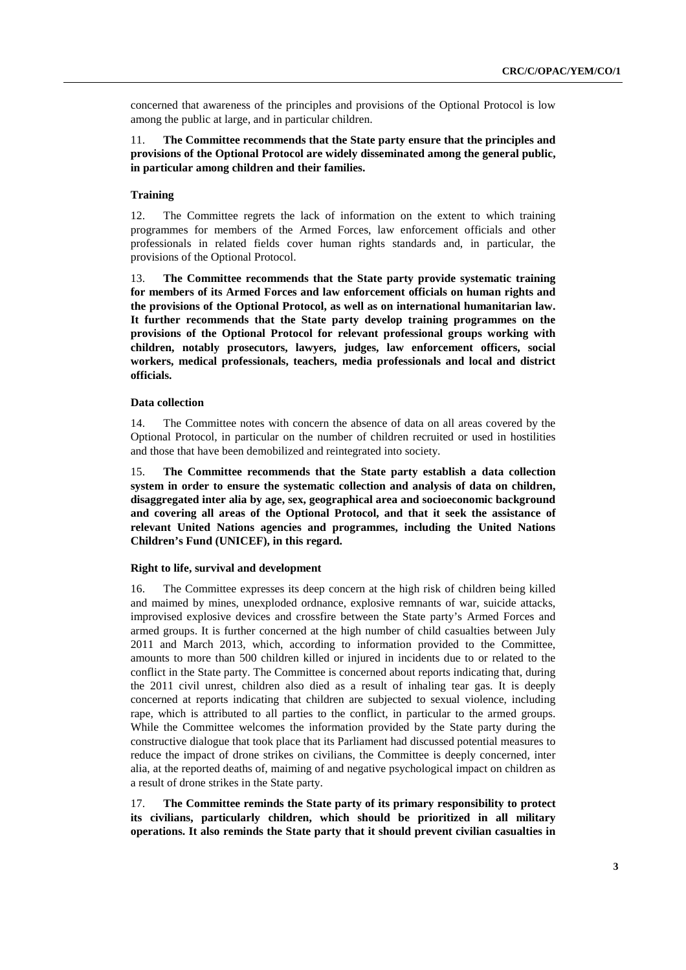concerned that awareness of the principles and provisions of the Optional Protocol is low among the public at large, and in particular children.

### 11. **The Committee recommends that the State party ensure that the principles and provisions of the Optional Protocol are widely disseminated among the general public, in particular among children and their families.**

### **Training**

12. The Committee regrets the lack of information on the extent to which training programmes for members of the Armed Forces, law enforcement officials and other professionals in related fields cover human rights standards and, in particular, the provisions of the Optional Protocol.

13. **The Committee recommends that the State party provide systematic training for members of its Armed Forces and law enforcement officials on human rights and the provisions of the Optional Protocol, as well as on international humanitarian law. It further recommends that the State party develop training programmes on the provisions of the Optional Protocol for relevant professional groups working with children, notably prosecutors, lawyers, judges, law enforcement officers, social workers, medical professionals, teachers, media professionals and local and district officials.** 

### **Data collection**

14. The Committee notes with concern the absence of data on all areas covered by the Optional Protocol, in particular on the number of children recruited or used in hostilities and those that have been demobilized and reintegrated into society.

15. **The Committee recommends that the State party establish a data collection system in order to ensure the systematic collection and analysis of data on children, disaggregated inter alia by age, sex, geographical area and socioeconomic background and covering all areas of the Optional Protocol, and that it seek the assistance of relevant United Nations agencies and programmes, including the United Nations Children's Fund (UNICEF), in this regard.** 

#### **Right to life, survival and development**

16. The Committee expresses its deep concern at the high risk of children being killed and maimed by mines, unexploded ordnance, explosive remnants of war, suicide attacks, improvised explosive devices and crossfire between the State party's Armed Forces and armed groups. It is further concerned at the high number of child casualties between July 2011 and March 2013, which, according to information provided to the Committee, amounts to more than 500 children killed or injured in incidents due to or related to the conflict in the State party. The Committee is concerned about reports indicating that, during the 2011 civil unrest, children also died as a result of inhaling tear gas. It is deeply concerned at reports indicating that children are subjected to sexual violence, including rape, which is attributed to all parties to the conflict, in particular to the armed groups. While the Committee welcomes the information provided by the State party during the constructive dialogue that took place that its Parliament had discussed potential measures to reduce the impact of drone strikes on civilians, the Committee is deeply concerned, inter alia, at the reported deaths of, maiming of and negative psychological impact on children as a result of drone strikes in the State party.

17. **The Committee reminds the State party of its primary responsibility to protect its civilians, particularly children, which should be prioritized in all military operations. It also reminds the State party that it should prevent civilian casualties in**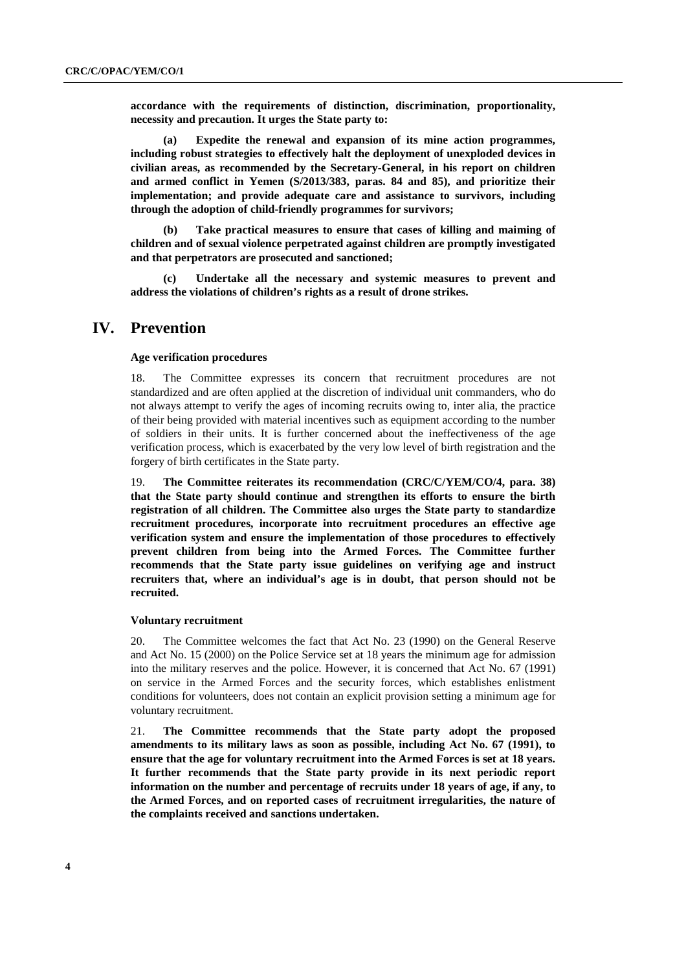**accordance with the requirements of distinction, discrimination, proportionality, necessity and precaution. It urges the State party to:** 

**(a) Expedite the renewal and expansion of its mine action programmes, including robust strategies to effectively halt the deployment of unexploded devices in civilian areas, as recommended by the Secretary-General, in his report on children and armed conflict in Yemen (S/2013/383, paras. 84 and 85), and prioritize their implementation; and provide adequate care and assistance to survivors, including through the adoption of child-friendly programmes for survivors;** 

**(b) Take practical measures to ensure that cases of killing and maiming of children and of sexual violence perpetrated against children are promptly investigated and that perpetrators are prosecuted and sanctioned;** 

**(c) Undertake all the necessary and systemic measures to prevent and address the violations of children's rights as a result of drone strikes.** 

### **IV. Prevention**

#### **Age verification procedures**

18. The Committee expresses its concern that recruitment procedures are not standardized and are often applied at the discretion of individual unit commanders, who do not always attempt to verify the ages of incoming recruits owing to, inter alia, the practice of their being provided with material incentives such as equipment according to the number of soldiers in their units. It is further concerned about the ineffectiveness of the age verification process, which is exacerbated by the very low level of birth registration and the forgery of birth certificates in the State party.

19. **The Committee reiterates its recommendation (CRC/C/YEM/CO/4, para. 38) that the State party should continue and strengthen its efforts to ensure the birth registration of all children. The Committee also urges the State party to standardize recruitment procedures, incorporate into recruitment procedures an effective age verification system and ensure the implementation of those procedures to effectively prevent children from being into the Armed Forces. The Committee further recommends that the State party issue guidelines on verifying age and instruct recruiters that, where an individual's age is in doubt, that person should not be recruited.** 

#### **Voluntary recruitment**

20. The Committee welcomes the fact that Act No. 23 (1990) on the General Reserve and Act No. 15 (2000) on the Police Service set at 18 years the minimum age for admission into the military reserves and the police. However, it is concerned that Act No. 67 (1991) on service in the Armed Forces and the security forces, which establishes enlistment conditions for volunteers, does not contain an explicit provision setting a minimum age for voluntary recruitment.

21. **The Committee recommends that the State party adopt the proposed amendments to its military laws as soon as possible, including Act No. 67 (1991), to ensure that the age for voluntary recruitment into the Armed Forces is set at 18 years. It further recommends that the State party provide in its next periodic report information on the number and percentage of recruits under 18 years of age, if any, to the Armed Forces, and on reported cases of recruitment irregularities, the nature of the complaints received and sanctions undertaken.**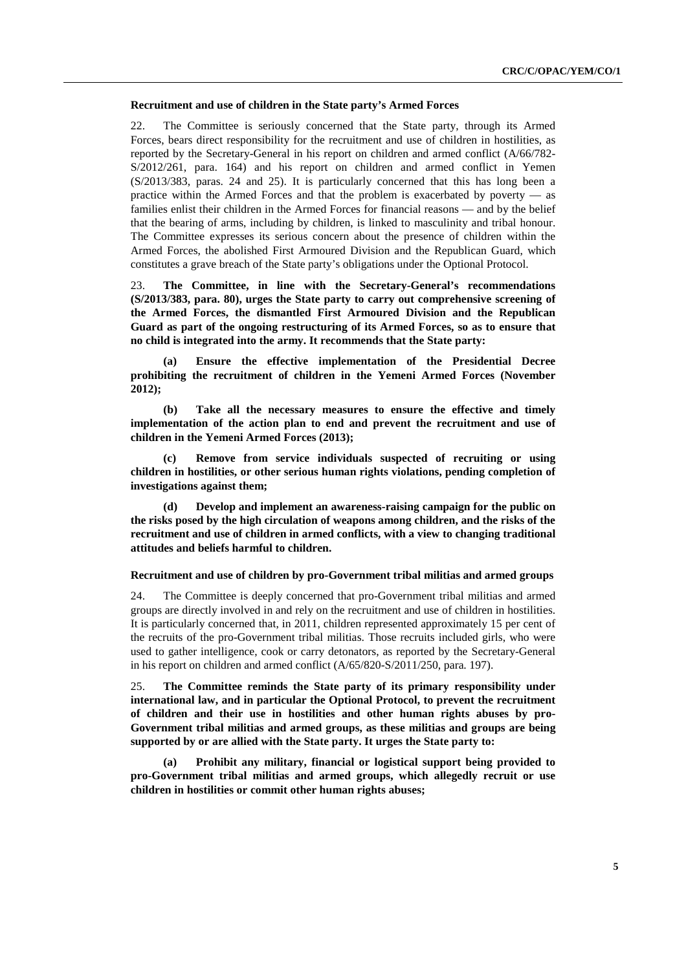#### **Recruitment and use of children in the State party's Armed Forces**

22. The Committee is seriously concerned that the State party, through its Armed Forces, bears direct responsibility for the recruitment and use of children in hostilities, as reported by the Secretary-General in his report on children and armed conflict (A/66/782- S/2012/261, para. 164) and his report on children and armed conflict in Yemen (S/2013/383, paras. 24 and 25). It is particularly concerned that this has long been a practice within the Armed Forces and that the problem is exacerbated by poverty — as families enlist their children in the Armed Forces for financial reasons — and by the belief that the bearing of arms, including by children, is linked to masculinity and tribal honour. The Committee expresses its serious concern about the presence of children within the Armed Forces, the abolished First Armoured Division and the Republican Guard, which constitutes a grave breach of the State party's obligations under the Optional Protocol.

23. **The Committee, in line with the Secretary-General's recommendations (S/2013/383, para. 80), urges the State party to carry out comprehensive screening of the Armed Forces, the dismantled First Armoured Division and the Republican Guard as part of the ongoing restructuring of its Armed Forces, so as to ensure that no child is integrated into the army. It recommends that the State party:** 

**(a) Ensure the effective implementation of the Presidential Decree prohibiting the recruitment of children in the Yemeni Armed Forces (November 2012);** 

**(b) Take all the necessary measures to ensure the effective and timely implementation of the action plan to end and prevent the recruitment and use of children in the Yemeni Armed Forces (2013);** 

**(c) Remove from service individuals suspected of recruiting or using children in hostilities, or other serious human rights violations, pending completion of investigations against them;** 

**(d) Develop and implement an awareness-raising campaign for the public on the risks posed by the high circulation of weapons among children, and the risks of the recruitment and use of children in armed conflicts, with a view to changing traditional attitudes and beliefs harmful to children.** 

#### **Recruitment and use of children by pro-Government tribal militias and armed groups**

24. The Committee is deeply concerned that pro-Government tribal militias and armed groups are directly involved in and rely on the recruitment and use of children in hostilities. It is particularly concerned that, in 2011, children represented approximately 15 per cent of the recruits of the pro-Government tribal militias. Those recruits included girls, who were used to gather intelligence, cook or carry detonators, as reported by the Secretary-General in his report on children and armed conflict (A/65/820-S/2011/250, para. 197).

25. **The Committee reminds the State party of its primary responsibility under international law, and in particular the Optional Protocol, to prevent the recruitment of children and their use in hostilities and other human rights abuses by pro-Government tribal militias and armed groups, as these militias and groups are being supported by or are allied with the State party. It urges the State party to:** 

Prohibit any military, financial or logistical support being provided to **pro-Government tribal militias and armed groups, which allegedly recruit or use children in hostilities or commit other human rights abuses;**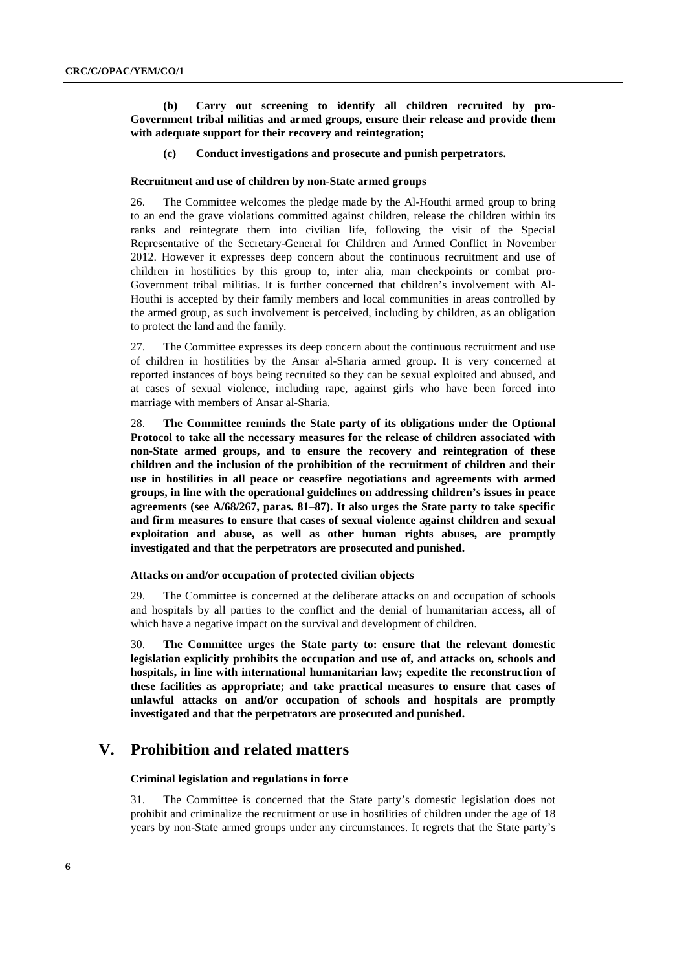**(b) Carry out screening to identify all children recruited by pro-Government tribal militias and armed groups, ensure their release and provide them with adequate support for their recovery and reintegration;** 

#### **(c) Conduct investigations and prosecute and punish perpetrators.**

#### **Recruitment and use of children by non-State armed groups**

26. The Committee welcomes the pledge made by the Al-Houthi armed group to bring to an end the grave violations committed against children, release the children within its ranks and reintegrate them into civilian life, following the visit of the Special Representative of the Secretary-General for Children and Armed Conflict in November 2012. However it expresses deep concern about the continuous recruitment and use of children in hostilities by this group to, inter alia, man checkpoints or combat pro-Government tribal militias. It is further concerned that children's involvement with Al-Houthi is accepted by their family members and local communities in areas controlled by the armed group, as such involvement is perceived, including by children, as an obligation to protect the land and the family.

27. The Committee expresses its deep concern about the continuous recruitment and use of children in hostilities by the Ansar al-Sharia armed group. It is very concerned at reported instances of boys being recruited so they can be sexual exploited and abused, and at cases of sexual violence, including rape, against girls who have been forced into marriage with members of Ansar al-Sharia.

28. **The Committee reminds the State party of its obligations under the Optional Protocol to take all the necessary measures for the release of children associated with non-State armed groups, and to ensure the recovery and reintegration of these children and the inclusion of the prohibition of the recruitment of children and their use in hostilities in all peace or ceasefire negotiations and agreements with armed groups, in line with the operational guidelines on addressing children's issues in peace agreements (see A/68/267, paras. 81–87). It also urges the State party to take specific and firm measures to ensure that cases of sexual violence against children and sexual exploitation and abuse, as well as other human rights abuses, are promptly investigated and that the perpetrators are prosecuted and punished.** 

#### **Attacks on and/or occupation of protected civilian objects**

29. The Committee is concerned at the deliberate attacks on and occupation of schools and hospitals by all parties to the conflict and the denial of humanitarian access, all of which have a negative impact on the survival and development of children.

30. **The Committee urges the State party to: ensure that the relevant domestic legislation explicitly prohibits the occupation and use of, and attacks on, schools and hospitals, in line with international humanitarian law; expedite the reconstruction of these facilities as appropriate; and take practical measures to ensure that cases of unlawful attacks on and/or occupation of schools and hospitals are promptly investigated and that the perpetrators are prosecuted and punished.** 

## **V. Prohibition and related matters**

#### **Criminal legislation and regulations in force**

31. The Committee is concerned that the State party's domestic legislation does not prohibit and criminalize the recruitment or use in hostilities of children under the age of 18 years by non-State armed groups under any circumstances. It regrets that the State party's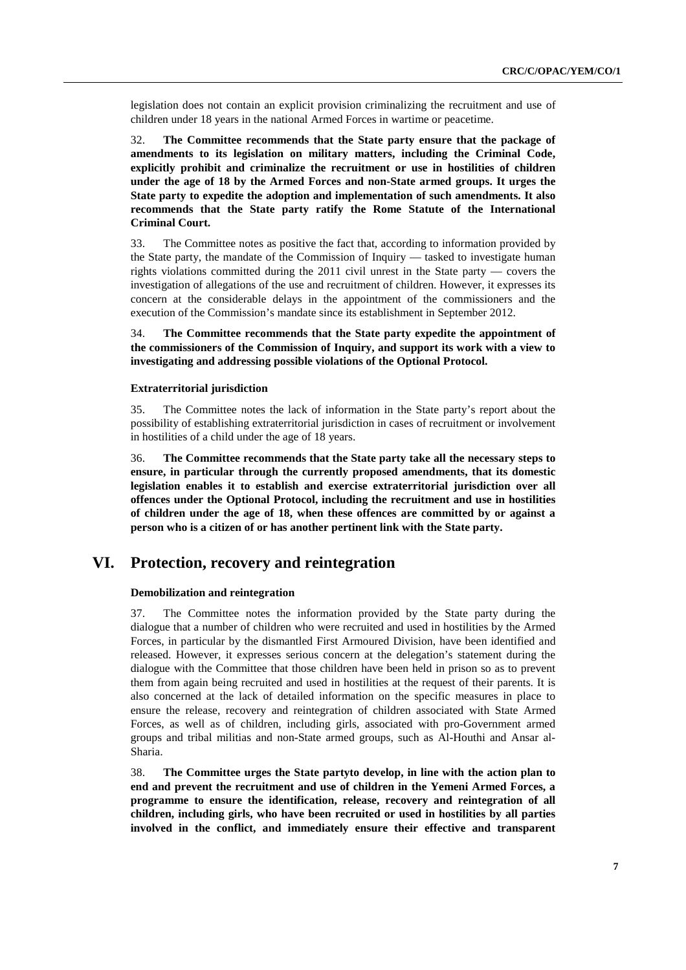legislation does not contain an explicit provision criminalizing the recruitment and use of children under 18 years in the national Armed Forces in wartime or peacetime.

32. **The Committee recommends that the State party ensure that the package of amendments to its legislation on military matters, including the Criminal Code, explicitly prohibit and criminalize the recruitment or use in hostilities of children under the age of 18 by the Armed Forces and non-State armed groups. It urges the State party to expedite the adoption and implementation of such amendments. It also recommends that the State party ratify the Rome Statute of the International Criminal Court.** 

33. The Committee notes as positive the fact that, according to information provided by the State party, the mandate of the Commission of Inquiry — tasked to investigate human rights violations committed during the 2011 civil unrest in the State party — covers the investigation of allegations of the use and recruitment of children. However, it expresses its concern at the considerable delays in the appointment of the commissioners and the execution of the Commission's mandate since its establishment in September 2012.

34. **The Committee recommends that the State party expedite the appointment of the commissioners of the Commission of Inquiry, and support its work with a view to investigating and addressing possible violations of the Optional Protocol.** 

#### **Extraterritorial jurisdiction**

35. The Committee notes the lack of information in the State party's report about the possibility of establishing extraterritorial jurisdiction in cases of recruitment or involvement in hostilities of a child under the age of 18 years.

36. **The Committee recommends that the State party take all the necessary steps to ensure, in particular through the currently proposed amendments, that its domestic legislation enables it to establish and exercise extraterritorial jurisdiction over all offences under the Optional Protocol, including the recruitment and use in hostilities of children under the age of 18, when these offences are committed by or against a person who is a citizen of or has another pertinent link with the State party.** 

## **VI. Protection, recovery and reintegration**

#### **Demobilization and reintegration**

37. The Committee notes the information provided by the State party during the dialogue that a number of children who were recruited and used in hostilities by the Armed Forces, in particular by the dismantled First Armoured Division, have been identified and released. However, it expresses serious concern at the delegation's statement during the dialogue with the Committee that those children have been held in prison so as to prevent them from again being recruited and used in hostilities at the request of their parents. It is also concerned at the lack of detailed information on the specific measures in place to ensure the release, recovery and reintegration of children associated with State Armed Forces, as well as of children, including girls, associated with pro-Government armed groups and tribal militias and non-State armed groups, such as Al-Houthi and Ansar al-Sharia.

38. **The Committee urges the State partyto develop, in line with the action plan to end and prevent the recruitment and use of children in the Yemeni Armed Forces, a programme to ensure the identification, release, recovery and reintegration of all children, including girls, who have been recruited or used in hostilities by all parties involved in the conflict, and immediately ensure their effective and transparent**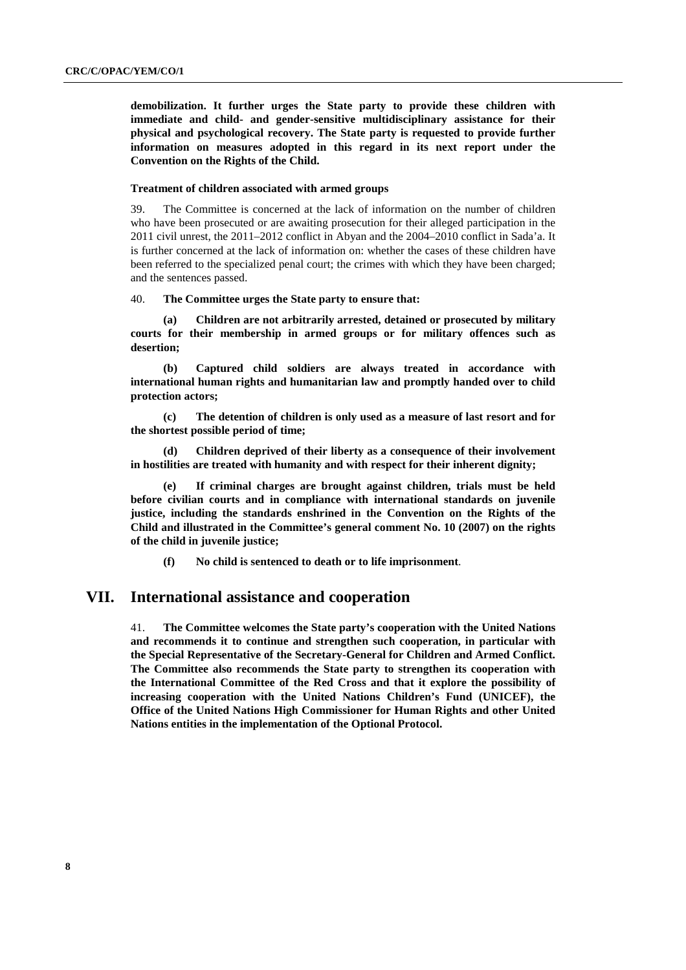**demobilization. It further urges the State party to provide these children with immediate and child- and gender-sensitive multidisciplinary assistance for their physical and psychological recovery. The State party is requested to provide further information on measures adopted in this regard in its next report under the Convention on the Rights of the Child.** 

#### **Treatment of children associated with armed groups**

39. The Committee is concerned at the lack of information on the number of children who have been prosecuted or are awaiting prosecution for their alleged participation in the 2011 civil unrest, the 2011–2012 conflict in Abyan and the 2004–2010 conflict in Sada'a. It is further concerned at the lack of information on: whether the cases of these children have been referred to the specialized penal court; the crimes with which they have been charged; and the sentences passed.

40. **The Committee urges the State party to ensure that:** 

**(a) Children are not arbitrarily arrested, detained or prosecuted by military courts for their membership in armed groups or for military offences such as desertion;** 

**(b) Captured child soldiers are always treated in accordance with international human rights and humanitarian law and promptly handed over to child protection actors;** 

**(c) The detention of children is only used as a measure of last resort and for the shortest possible period of time;** 

**(d) Children deprived of their liberty as a consequence of their involvement in hostilities are treated with humanity and with respect for their inherent dignity;** 

**(e) If criminal charges are brought against children, trials must be held before civilian courts and in compliance with international standards on juvenile justice, including the standards enshrined in the Convention on the Rights of the Child and illustrated in the Committee's general comment No. 10 (2007) on the rights of the child in juvenile justice;** 

**(f) No child is sentenced to death or to life imprisonment**.

### **VII. International assistance and cooperation**

41. **The Committee welcomes the State party's cooperation with the United Nations and recommends it to continue and strengthen such cooperation, in particular with the Special Representative of the Secretary-General for Children and Armed Conflict. The Committee also recommends the State party to strengthen its cooperation with the International Committee of the Red Cross and that it explore the possibility of increasing cooperation with the United Nations Children's Fund (UNICEF), the Office of the United Nations High Commissioner for Human Rights and other United Nations entities in the implementation of the Optional Protocol.**